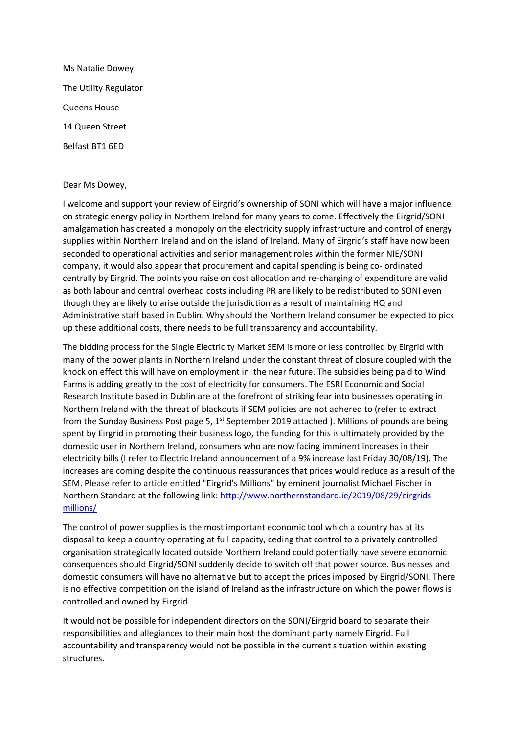Ms Natalie Dowey The Utility Regulator Queens House 14 Queen Street Belfast BT1 6ED

## Dear Ms Dowey,

I welcome and support your review of Eirgrid's ownership of SONI which will have a major influence on strategic energy policy in Northern Ireland for many years to come. Effectively the Eirgrid/SONI amalgamation has created a monopoly on the electricity supply infrastructure and control of energy supplies within Northern Ireland and on the island of Ireland. Many of Eirgrid's staff have now been seconded to operational activities and senior management roles within the former NIE/SONI company, it would also appear that procurement and capital spending is being co- ordinated centrally by Eirgrid. The points you raise on cost allocation and re-charging of expenditure are valid as both labour and central overhead costs including PR are likely to be redistributed to SONI even though they are likely to arise outside the jurisdiction as a result of maintaining HQ and Administrative staff based in Dublin. Why should the Northern Ireland consumer be expected to pick up these additional costs, there needs to be full transparency and accountability.

The bidding process for the Single Electricity Market SEM is more or less controlled by Eirgrid with many of the power plants in Northern Ireland under the constant threat of closure coupled with the knock on effect this will have on employment in the near future. The subsidies being paid to Wind Farms is adding greatly to the cost of electricity for consumers. The ESRI Economic and Social Research Institute based in Dublin are at the forefront of striking fear into businesses operating in Northern Ireland with the threat of blackouts if SEM policies are not adhered to (refer to extract from the Sunday Business Post page 5,  $1<sup>st</sup>$  September 2019 attached ). Millions of pounds are being spent by Eirgrid in promoting their business logo, the funding for this is ultimately provided by the domestic user in Northern Ireland, consumers who are now facing imminent increases in their electricity bills (I refer to Electric Ireland announcement of a 9% increase last Friday 30/08/19). The increases are coming despite the continuous reassurances that prices would reduce as a result of the SEM. Please refer to article entitled "Eirgrid's Millions" by eminent journalist Michael Fischer in Northern Standard at the following link[: http://www.northernstandard.ie/2019/08/29/eirgrids](http://www.northernstandard.ie/2019/08/29/eirgrids-millions/)[millions/](http://www.northernstandard.ie/2019/08/29/eirgrids-millions/)

The control of power supplies is the most important economic tool which a country has at its disposal to keep a country operating at full capacity, ceding that control to a privately controlled organisation strategically located outside Northern Ireland could potentially have severe economic consequences should Eirgrid/SONI suddenly decide to switch off that power source. Businesses and domestic consumers will have no alternative but to accept the prices imposed by Eirgrid/SONI. There is no effective competition on the island of Ireland as the infrastructure on which the power flows is controlled and owned by Eirgrid.

It would not be possible for independent directors on the SONI/Eirgrid board to separate their responsibilities and allegiances to their main host the dominant party namely Eirgrid. Full accountability and transparency would not be possible in the current situation within existing structures.